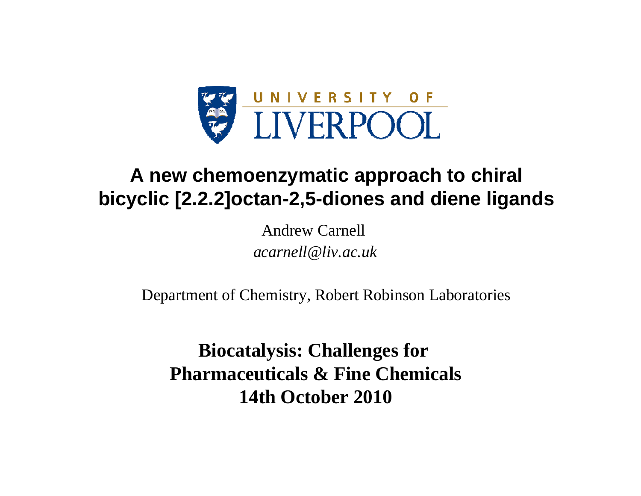

# **A new chemoenzymatic approach to chiral bicyclic [2.2.2]octan-2,5-diones and diene ligands**

Andrew Carnell*acarnell@liv.ac.uk*

Department of Chemistry, Robert Robinson Laboratories

**Biocatalysis: Challenges for Pharmaceuticals & Fine Chemicals 14th October 2010**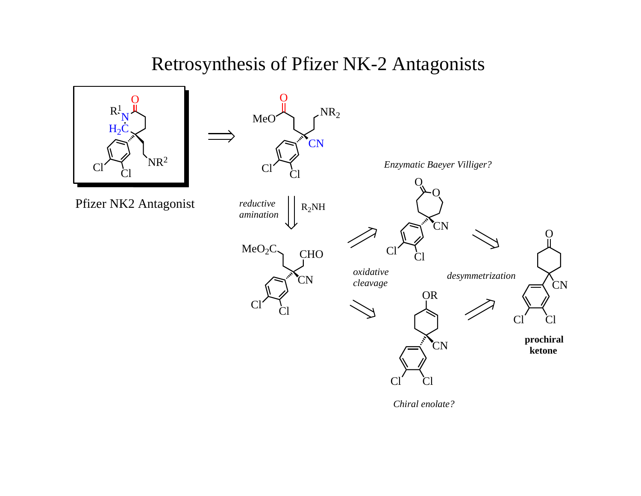# Retrosynthesis of Pfizer NK-2 Antagonists

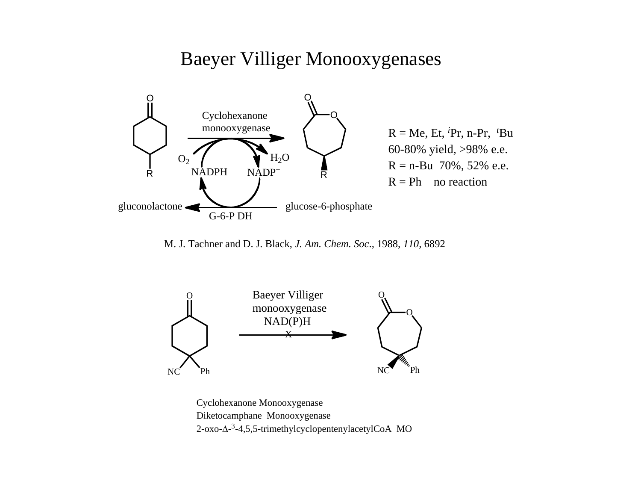# Baeyer Villiger Monooxygenases



M. J. Tachner and D. J. Black, *J. Am. Chem. Soc*.*,* 1988*, 110,* 6892



Cyclohexanone Monooxygenase Diketocamphane Monooxygenase 2-oxo-Δ-3-4,5,5-trimethylcyclopentenylacetylCoA MO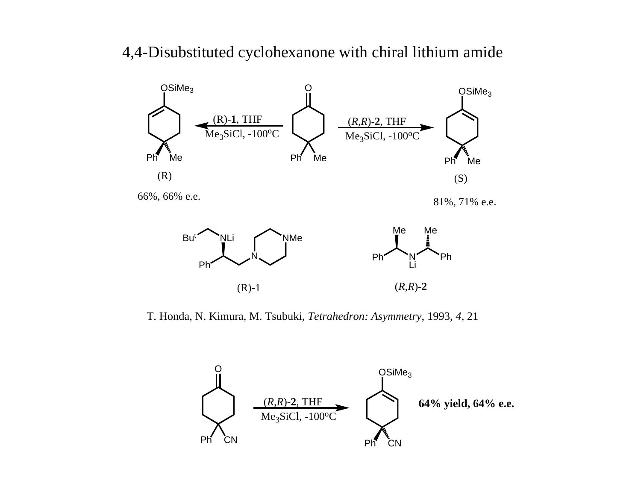#### 4,4-Disubstituted cyclohexanone with chiral lithium amide



T. Honda, N. Kimura, M. Tsubuki, *Tetrahedron: Asymmetry*, 1993, *4*, 21

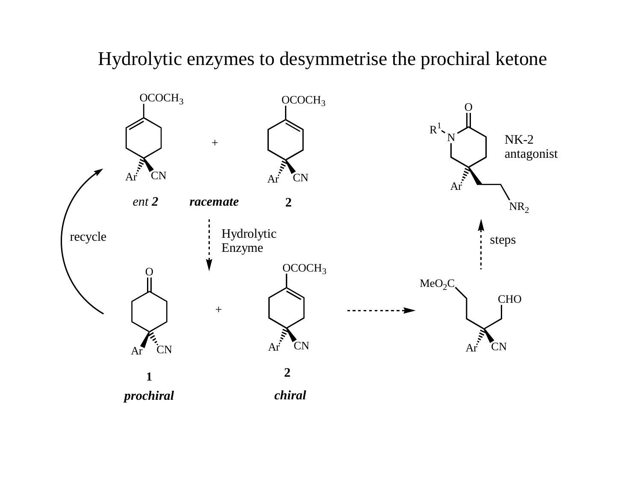# Hydrolytic enzymes to desymmetrise the prochiral ketone

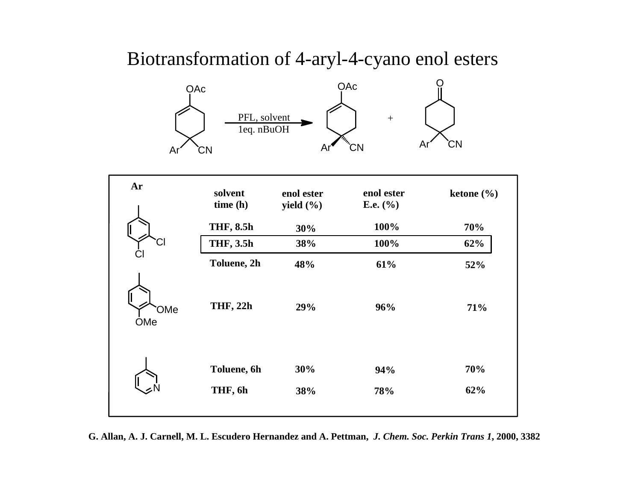# Biotransformation of 4-aryl-4-cyano enol esters



| Ar                | solvent<br>time(h)     | enol ester<br>yield $(\% )$ | enol ester<br>E.e. $(\% )$ | ketone $(\% )$ |
|-------------------|------------------------|-----------------------------|----------------------------|----------------|
|                   | <b>THF, 8.5h</b>       | 30%                         | 100%                       | 70%            |
| Ċl                | <b>THF, 3.5h</b>       | 38%                         | 100%                       | 62%            |
|                   | Toluene, 2h            | 48%                         | 61%                        | 52%            |
| <b>OMe</b><br>OMe | <b>THF, 22h</b>        | 29%                         | 96%                        | 71%            |
|                   | Toluene, 6h<br>THF, 6h | 30%<br>38%                  | 94%<br>78%                 | 70%<br>62%     |

**G. Allan, A. J. Carnell, M. L. Escudero Hernandez and A. Pettman,** *J. Chem. Soc. Perkin Trans 1***, 2000, 3382**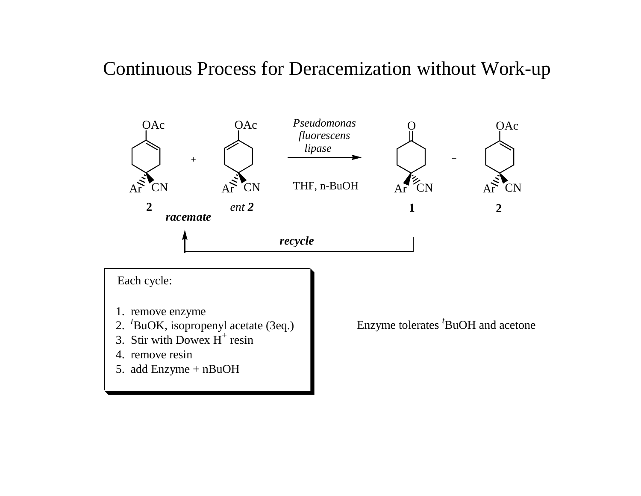# Continuous Process for Deracemization without Work-up



5. add Enzyme + nBuOH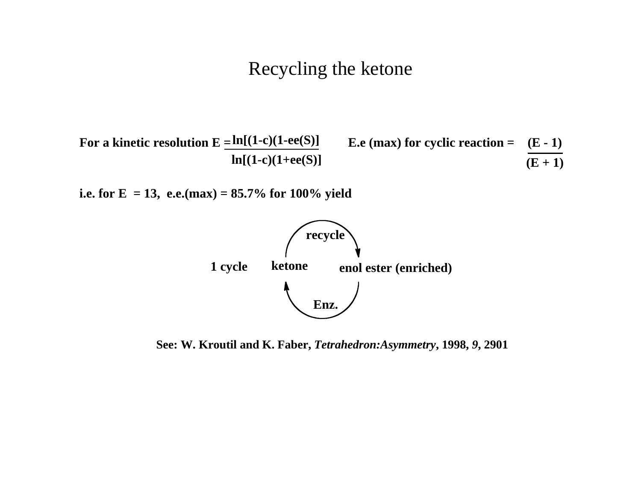### Recycling the ketone



**i.e. for E** = 13, e.e.(max) =  $85.7\%$  for 100% yield



**See: W. Kroutil and K. Faber,** *Tetrahedron:Asymmetry***, 1998,** *9***, 2901**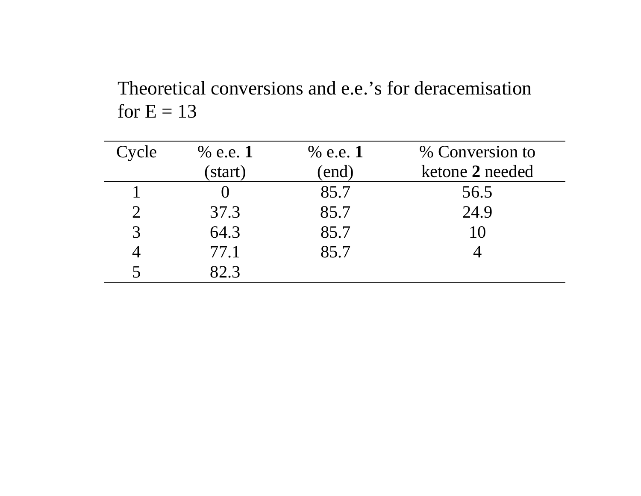Theoretical conversions and e.e.'s for deracemisation for  $E = 13$ 

| Cycle         | $%$ e.e. 1 | $%$ e.e. 1 | % Conversion to |
|---------------|------------|------------|-----------------|
|               | (start)    | (end)      | ketone 2 needed |
|               |            | 85.7       | 56.5            |
|               | 37.3       | 85.7       | 24.9            |
| $\mathcal{R}$ | 64.3       | 85.7       | 10              |
|               | 77.1       | 85.7       |                 |
|               | 82.3       |            |                 |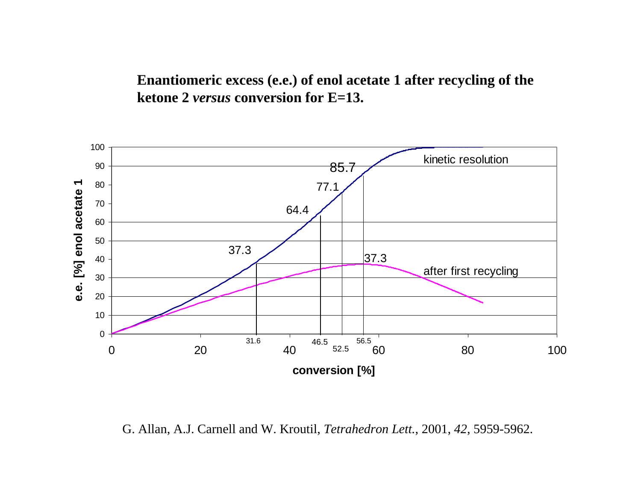**Enantiomeric excess (e.e.) of enol acetate 1 after recycling of the ketone 2** *versus* **conversion for E=13.**



G. Allan, A.J. Carnell and W. Kroutil, *Tetrahedron Lett.*, 2001, *42*, 5959-5962.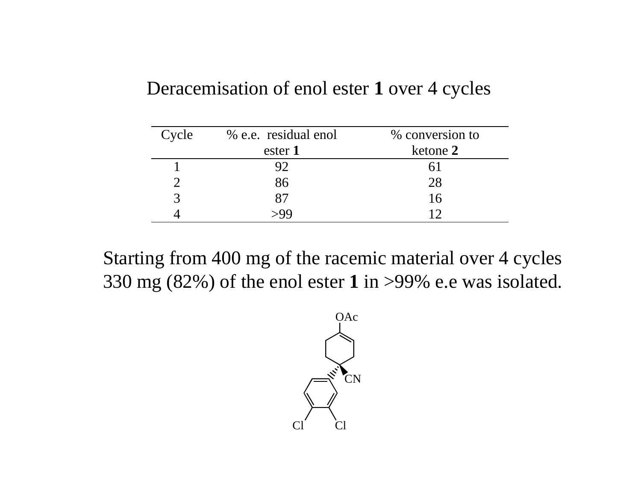# Deracemisation of enol ester **1** over 4 cycles

| Cycle | % e.e. residual enol | % conversion to |
|-------|----------------------|-----------------|
|       | ester 1              | ketone 2        |
|       |                      |                 |
|       | 86                   | 28              |
|       | 87                   | 16              |
|       |                      |                 |

Starting from 400 mg of the racemic material over 4 cycles 330 mg (82%) of the enol ester **1** in >99% e.e was isolated.

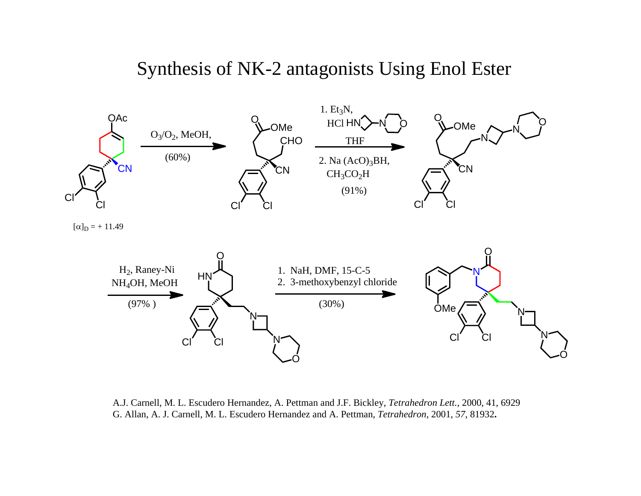# Synthesis of NK-2 antagonists Using Enol Ester



A.J. Carnell, M. L. Escudero Hernandez, A. Pettman and J.F. Bickley, *Tetrahedron Lett.*, 2000, 41, 6929 G. Allan, A. J. Carnell, M. L. Escudero Hernandez and A. Pettman, *Tetrahedron*, 2001, *57*, 81932**.**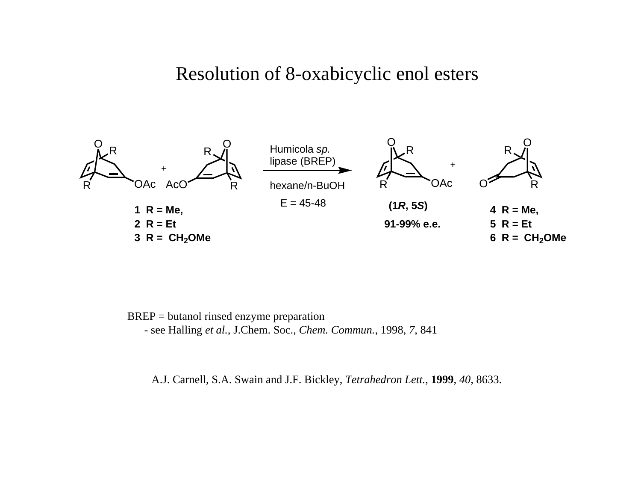#### Resolution of 8-oxabicyclic enol esters



BREP = butanol rinsed enzyme preparation - see Halling *et al.,* J.Chem. Soc.*, Chem. Commun.*, 1998, *7*, 841

A.J. Carnell, S.A. Swain and J.F. Bickley, *Tetrahedron Lett.*, **1999**, *40,* 8633.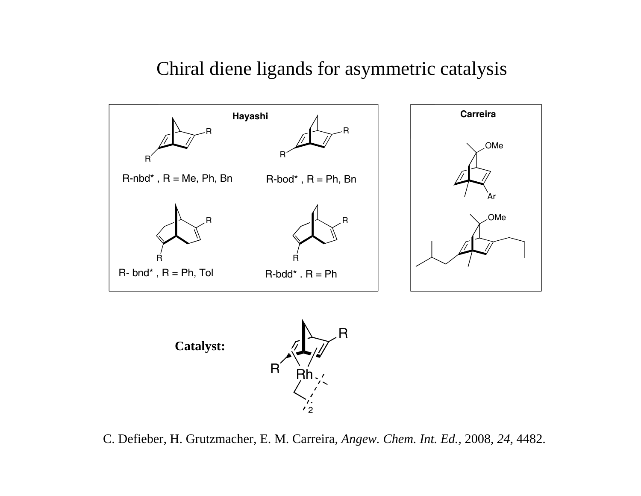# Chiral diene ligands for asymmetric catalysis



C. Defieber, H. Grutzmacher, E. M. Carreira, *Angew. Chem. Int. Ed.,* 2008, *24*, 4482.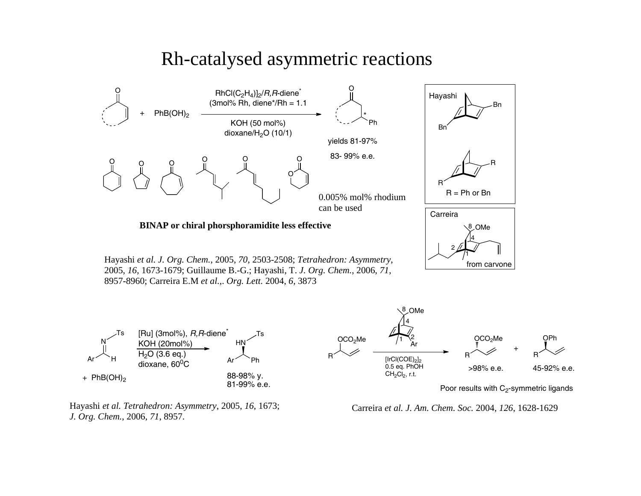### Rh-catalysed asymmetric reactions



Hayashi *et al. Tetrahedron: Asymmetry*, 2005, *16*, 1673; *J. Org. Chem.*, 2006, *71*, 8957.

Carreira *et al. J. Am. Chem. Soc.* 2004, *126*, 1628-1629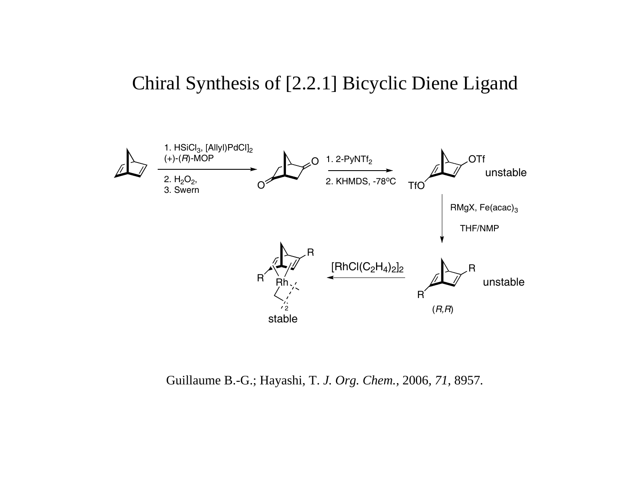# Chiral Synthesis of [2.2.1] Bicyclic Diene Ligand



Guillaume B.-G.; Hayashi, T. *J. Org. Chem.,* 2006*, 71,* 8957*.*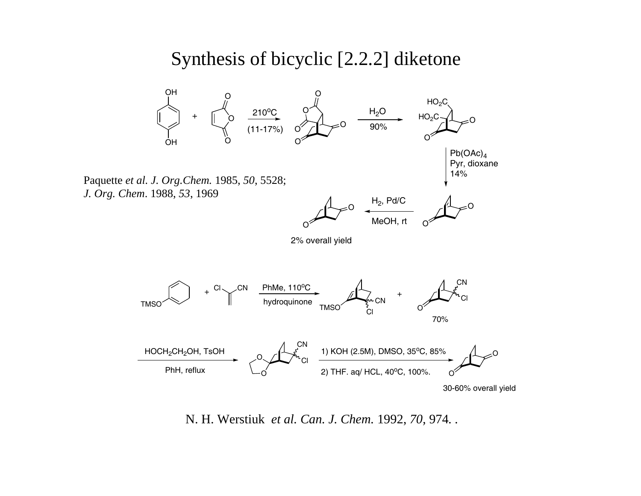### Synthesis of bicyclic [2.2.2] diketone



N. H. Werstiuk *et al. Can. J. Chem.* 1992, *70,* 974*. .*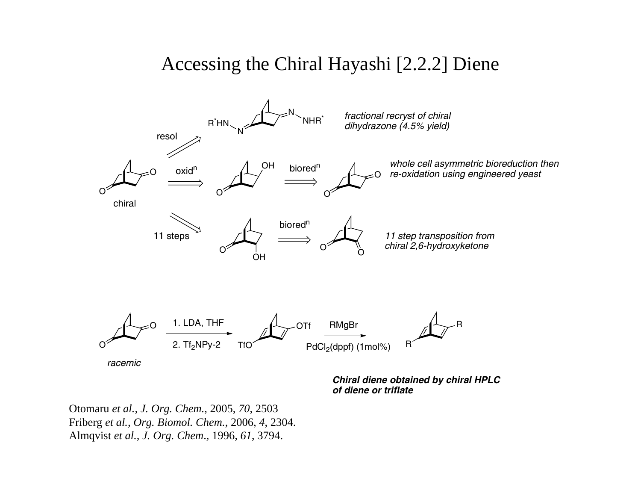# Accessing the Chiral Hayashi [2.2.2] Diene



*Chiral diene obtained by chiral HPLC of diene or triflate*

Otomaru *et al., J. Org. Chem.*, 2005, *70*, 2503 Friberg *et al., Org. Biomol. Chem.*, 2006, *4*, 2304. Almqvist *et al., J. Org. Chem*.*,* 1996*, 61*, 3794.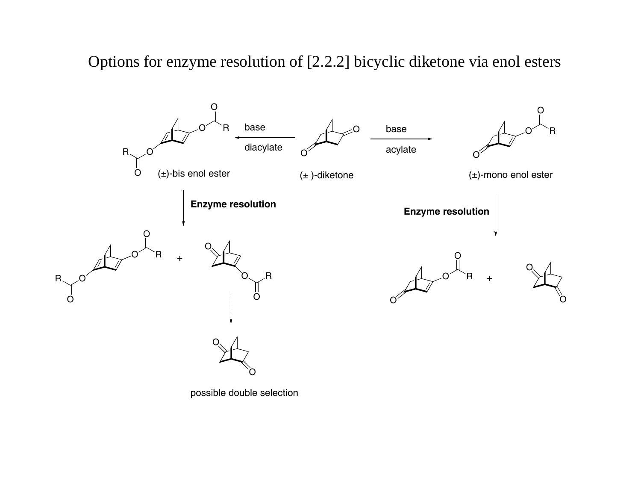Options for enzyme resolution of [2.2.2] bicyclic diketone via enol esters

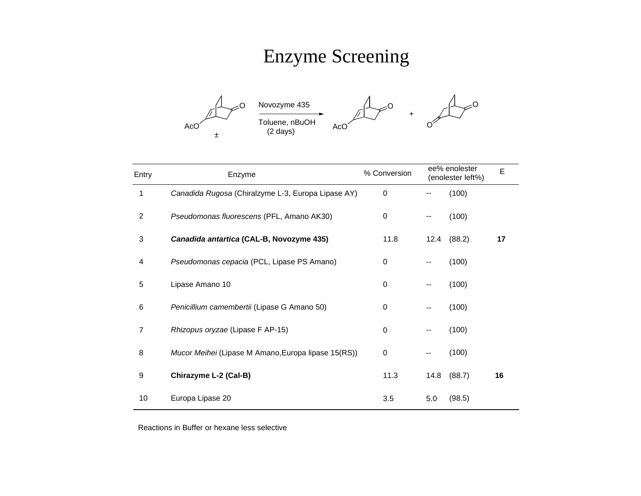# Enzyme Screening



| Entry          | Enzyme                                              | % Conversion |                          | ee% enolester<br>(enolester left%) | E  |
|----------------|-----------------------------------------------------|--------------|--------------------------|------------------------------------|----|
| 1              | Canadida Rugosa (Chiralzyme L-3, Europa Lipase AY)  | $\mathbf 0$  |                          | (100)                              |    |
| 2              | Pseudomonas fluorescens (PFL, Amano AK30)           | 0            | $\overline{\phantom{a}}$ | (100)                              |    |
| 3              | Canadida antartica (CAL-B, Novozyme 435)            | 11.8         | 12.4                     | (88.2)                             | 17 |
| 4              | Pseudomonas cepacia (PCL, Lipase PS Amano)          | 0            | --                       | (100)                              |    |
| 5              | Lipase Amano 10                                     | $\Omega$     | --                       | (100)                              |    |
| 6              | Penicillium camembertii (Lipase G Amano 50)         | 0            | $-$                      | (100)                              |    |
| $\overline{7}$ | Rhizopus oryzae (Lipase F AP-15)                    | $\mathbf 0$  | --                       | (100)                              |    |
| 8              | Mucor Meihei (Lipase M Amano, Europa lipase 15(RS)) | $\mathbf 0$  | --                       | (100)                              |    |
| 9              | Chirazyme L-2 (Cal-B)                               | 11.3         | 14.8                     | (88.7)                             | 16 |
| 10             | Europa Lipase 20                                    | 3.5          | 5.0                      | (98.5)                             |    |

Reactions in Buffer or hexane less selective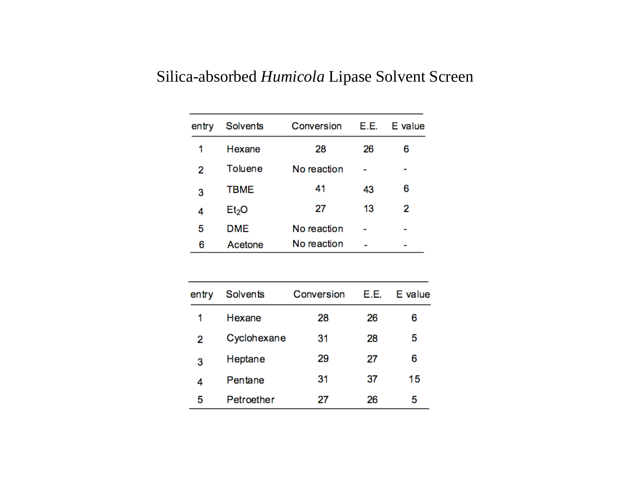#### Silica-absorbed *Humicola* Lipase Solvent Screen

| entry | <b>Solvents</b>   | Conversion  | E.E. | E value |
|-------|-------------------|-------------|------|---------|
| 1     | Hexane            | 28          | 26   | 6       |
| 2     | Toluene           | No reaction |      |         |
| 3     | <b>TBME</b>       | 41          | 43   | 6       |
| 4     | Et <sub>2</sub> O | 27          | 13   | 2       |
| 5     | <b>DME</b>        | No reaction |      |         |
| 6     | Acetone           | No reaction |      |         |

| entry | Solvents    | Conversion | E.E. | E value |
|-------|-------------|------------|------|---------|
| 1     | Hexane      | 28         | 26   | 6       |
| 2     | Cyclohexane | 31         | 28   | 5       |
| 3     | Heptane     | 29         | 27   | 6       |
| 4     | Pentane     | 31         | 37   | 15      |
| 5     | Petroether  | 27         | 26   | 5       |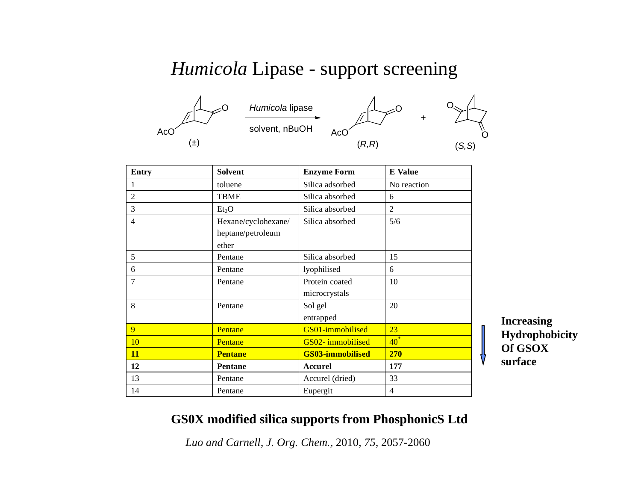# *Humicola* Lipase - support screening



| <b>Entry</b>   | <b>Solvent</b>                                    | <b>Enzyme Form</b>              | <b>E</b> Value |
|----------------|---------------------------------------------------|---------------------------------|----------------|
|                | toluene                                           | Silica adsorbed                 | No reaction    |
| $\overline{2}$ | <b>TBME</b>                                       | Silica absorbed                 | 6              |
| 3              | Et <sub>2</sub> O                                 | Silica absorbed                 | 2              |
| $\overline{4}$ | Hexane/cyclohexane/<br>heptane/petroleum<br>ether | Silica absorbed                 | 5/6            |
| 5              | Pentane                                           | Silica absorbed                 | 15             |
| 6              | Pentane                                           | lyophilised                     | 6              |
| $\overline{7}$ | Pentane                                           | Protein coated<br>microcrystals | 10             |
| 8              | Pentane                                           | Sol gel<br>entrapped            | 20             |
| 9              | Pentane                                           | GS01-immobilised                | 23             |
| 10             | Pentane                                           | GS02-immobilised                | $40^*$         |
| <b>11</b>      | <b>Pentane</b>                                    | <b>GS03-immobilised</b>         | <b>270</b>     |
| 12             | Pentane                                           | <b>Accurel</b>                  | 177            |
| 13             | Pentane                                           | Accurel (dried)                 | 33             |
| 14             | Pentane                                           | Eupergit                        | $\overline{4}$ |

**Increasing Hydrophobicity Of GSOX surface**

#### **GS0X modified silica supports from PhosphonicS Ltd**

*Luo and Carnell, J. Org. Chem.,* 2010, *75*, 2057-2060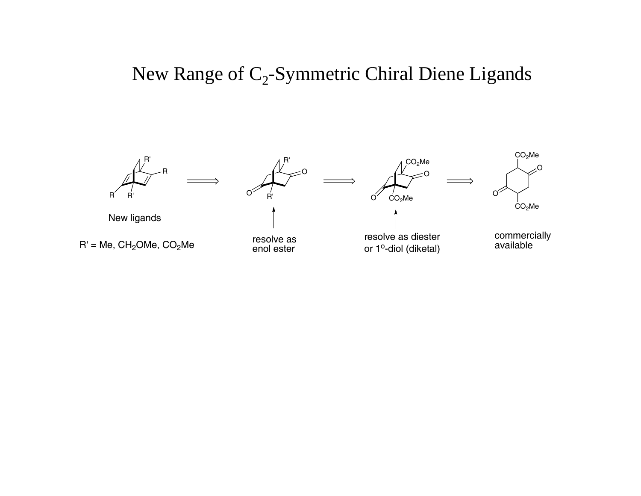# New Range of  $C_2$ -Symmetric Chiral Diene Ligands

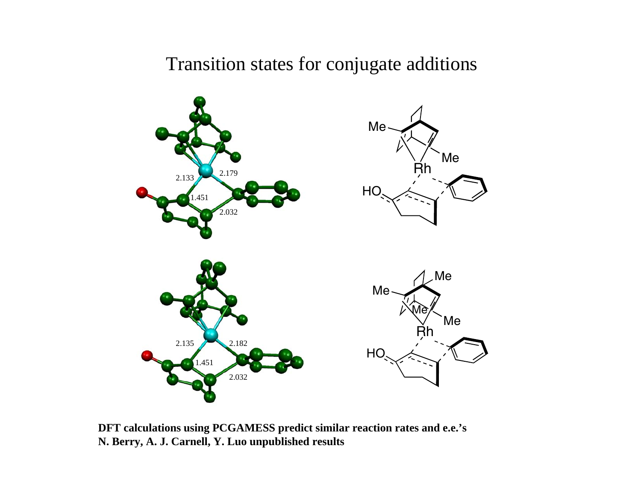## Transition states for conjugate additions



**DFT calculations using PCGAMESS predict similar reaction rates and e.e.'s N. Berry, A. J. Carnell, Y. Luo unpublished results**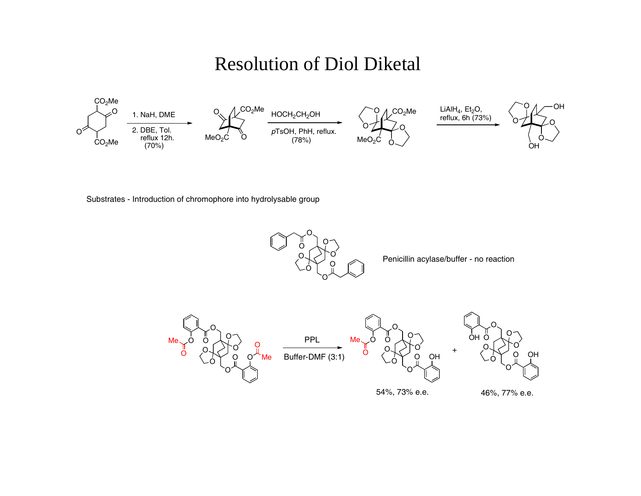# Resolution of Diol Diketal



Substrates - Introduction of chromophore into hydrolysable group



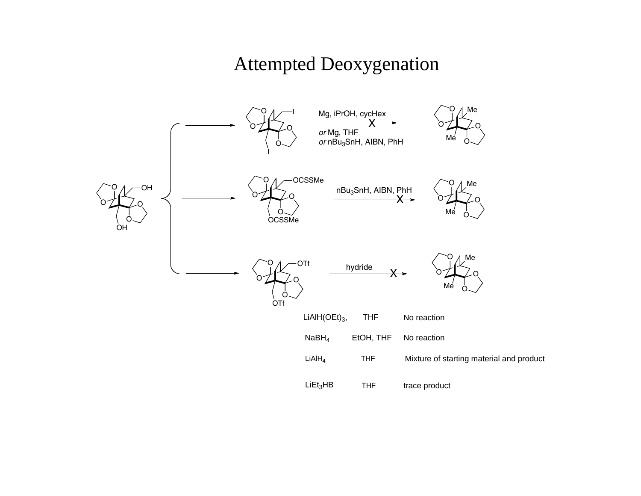# Attempted Deoxygenation

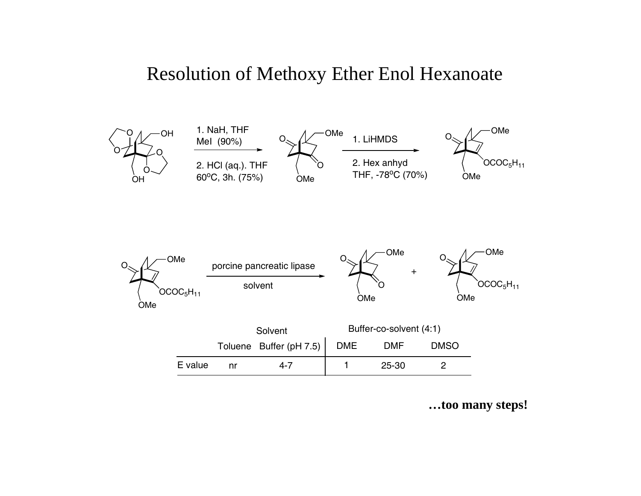### Resolution of Methoxy Ether Enol Hexanoate



**…too many steps!**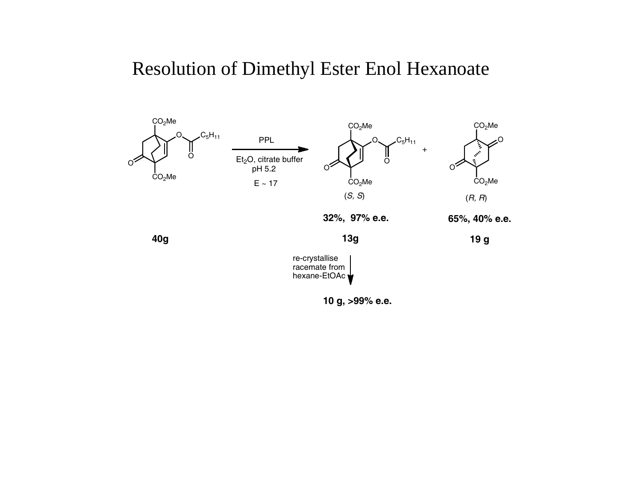# Resolution of Dimethyl Ester Enol Hexanoate



**10 g, >99% e.e.**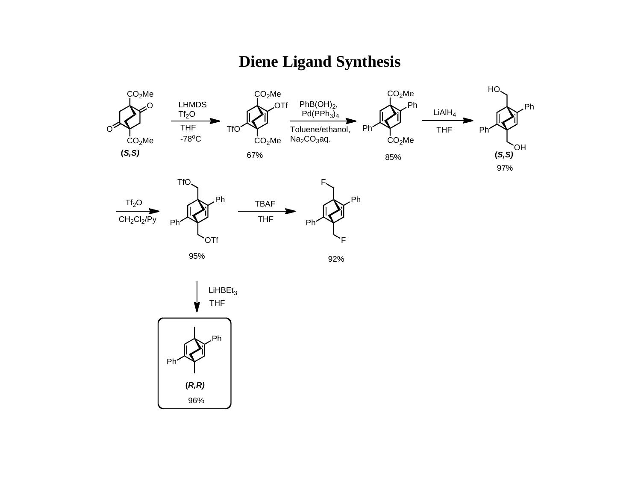### **Diene Ligand Synthesis**

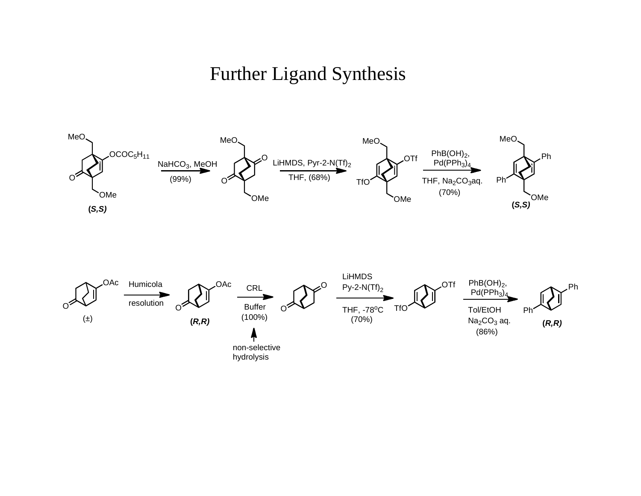# Further Ligand Synthesis

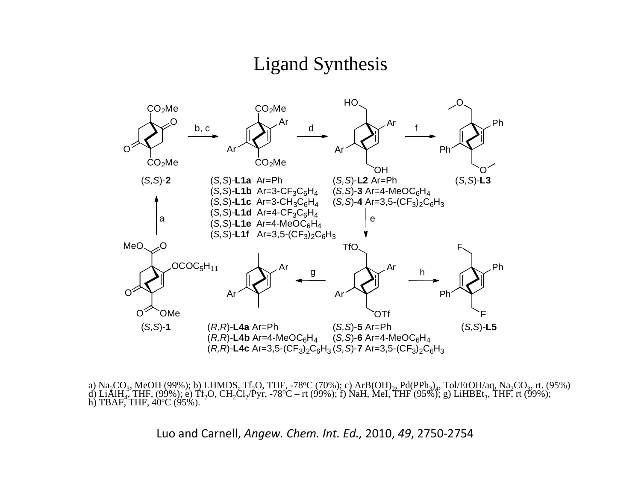### Ligand Synthesis



a) Na<sub>2</sub>CO<sub>3</sub>, MeOH (99%); b) LHMDS, Tf<sub>2</sub>O, THF, -78°C (70%); c) ArB(OH)<sub>2</sub>, Pd(PPh<sub>3</sub>)<sub>4</sub>, Tol/EtOH/aq, Na<sub>2</sub>CO<sub>3</sub>, rt. (95%) d) LiAlH<sub>4</sub>, THF, (99%); e) Tf<sub>2</sub>O, CH<sub>2</sub>Cl<sub>2</sub>/Pyr, -78°C – rt (99%); f) NaH, MeI, THF (95%);

Luo and Carnell, *Angew. Chem. Int. Ed.,* 2010, *49*, 2750‐2754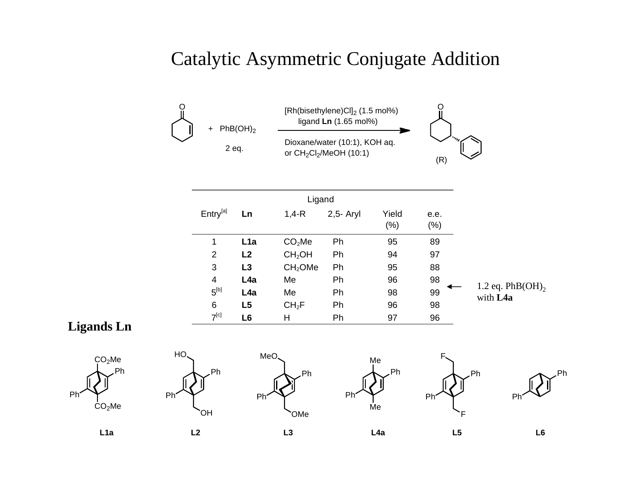# Catalytic Asymmetric Conjugate Addition



|                      |                  | Ligand              |             |                 |                |                                 |
|----------------------|------------------|---------------------|-------------|-----------------|----------------|---------------------------------|
| Entry <sup>[a]</sup> | Ln               | $1,4-R$             | $2,5-$ Aryl | Yield<br>$(\%)$ | e.e.<br>$(\%)$ |                                 |
| 1                    | L <sub>1</sub> a | CO <sub>2</sub> Me  | Ph          | 95              | 89             |                                 |
| 2                    | L2               | CH <sub>2</sub> OH  | Ph          | 94              | 97             |                                 |
| 3                    | L3               | CH <sub>2</sub> OMe | Ph          | 95              | 88             |                                 |
| $\overline{4}$       | L <sub>4</sub> a | Me                  | Ph          | 96              | 98             |                                 |
| $5^{[b]}$            | L <sub>4</sub> a | Me                  | Ph          | 98              | 99             | 1.2 eq. $PhB(OH)$ ,<br>with L4a |
| 6                    | L5               | CH <sub>2</sub> F   | Ph          | 96              | 98             |                                 |
| $7^{[c]}$            | L <sub>6</sub>   | н                   | Ph          | 97              | 96             |                                 |

#### **Ligands Ln**











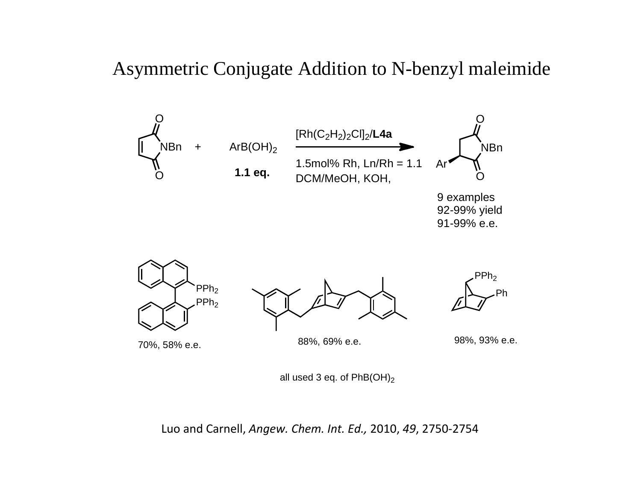### Asymmetric Conjugate Addition to N-benzyl maleimide



all used 3 eq. of  $PhB(OH)_2$ 

Luo and Carnell, *Angew. Chem. Int. Ed.,* 2010, *49*, 2750‐2754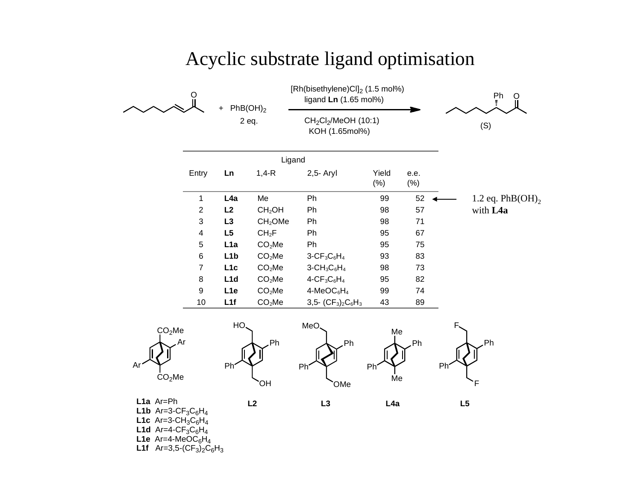#### Acyclic substrate ligand optimisation



**L1e** Ar=4-MeOC<sub>6</sub>H<sub>4</sub>

**L1f**  $Ar=3,5-(CF<sub>3</sub>)<sub>2</sub>C<sub>6</sub>H<sub>3</sub>$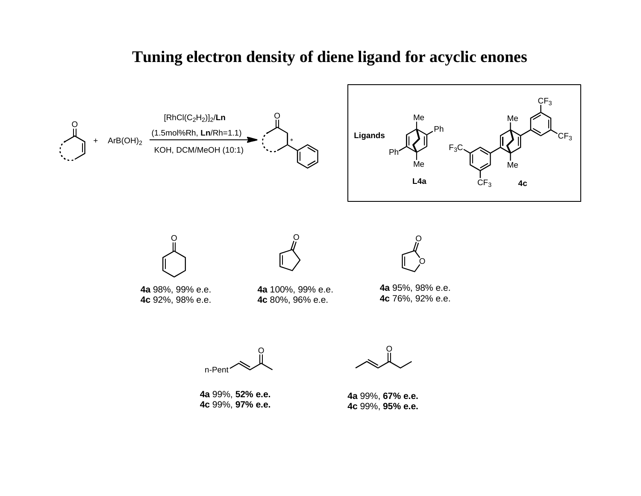#### **Tuning electron density of diene ligand for acyclic enones**

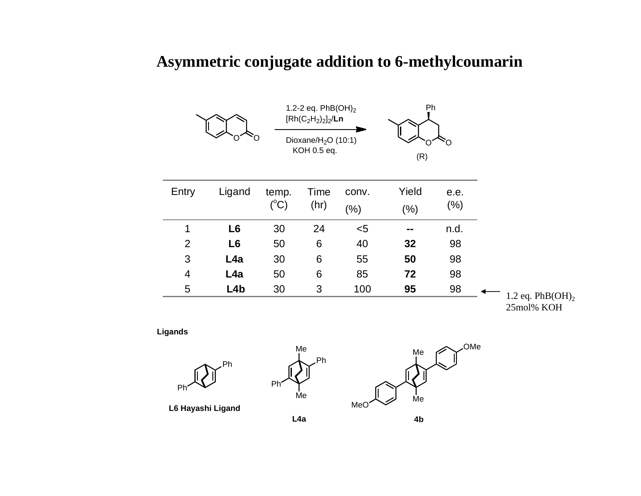#### **Asymmetric conjugate addition to 6-methylcoumarin**



**Ligands**







**L6 Hayashi Ligand**

**L4a**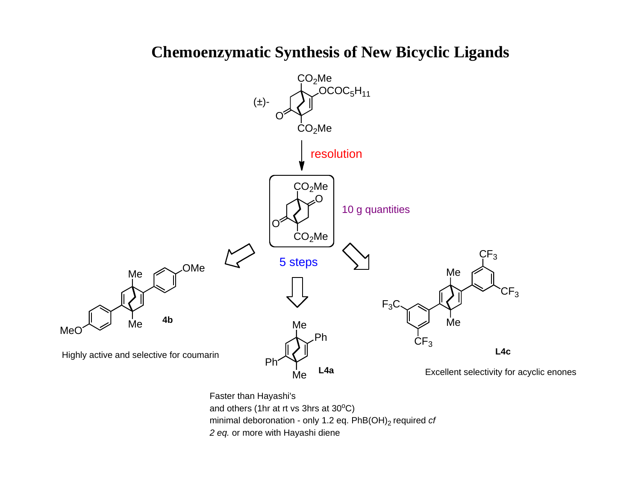

#### **Chemoenzymatic Synthesis of New Bicyclic Ligands**

Faster than Hayashi's and others (1hr at rt vs 3hrs at  $30^{\circ}$ C) minimal deboronation - only 1.2 eq. PhB(OH)<sub>2</sub> required *cf 2 eq.* or more with Hayashi diene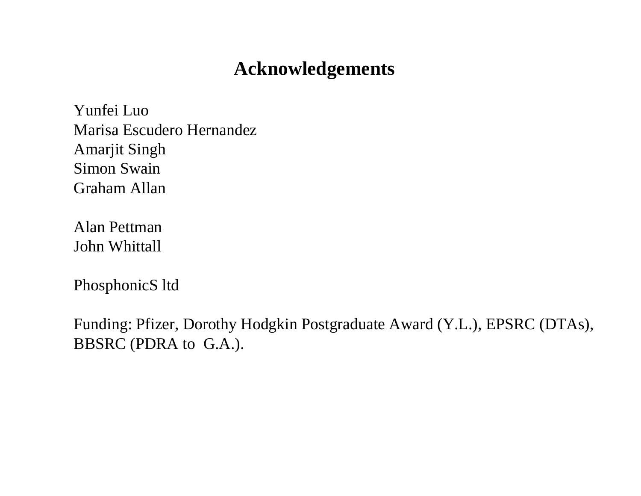# **Acknowledgements**

Yunfei LuoMarisa Escudero HernandezAmarjit Singh Simon SwainGraham Allan

Alan PettmanJohn Whittall

PhosphonicS ltd

Funding: Pfizer, Dorothy Hodgkin Postgraduate Award (Y.L.), EPSRC (DTAs), BBSRC (PDRA to G.A.).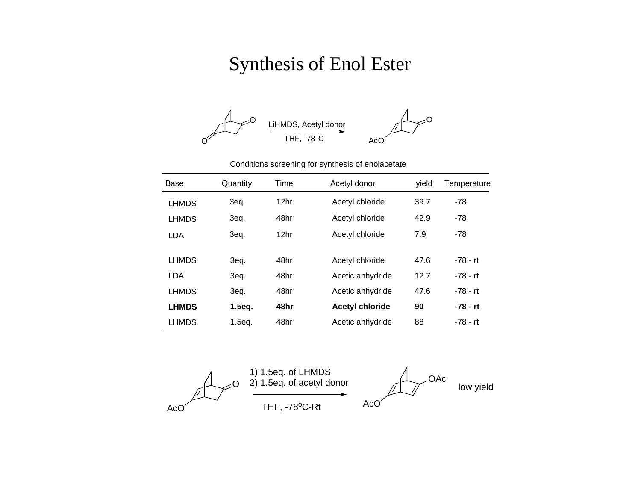# Synthesis of Enol Ester



#### Conditions screening for synthesis of enolacetate

| Base         | Quantity | Time | Acetyl donor           | vield | Temperature |
|--------------|----------|------|------------------------|-------|-------------|
| <b>LHMDS</b> | 3eq.     | 12hr | Acetyl chloride        | 39.7  | $-78$       |
| <b>LHMDS</b> | 3eq.     | 48hr | Acetyl chloride        | 42.9  | $-78$       |
| <b>LDA</b>   | 3eq.     | 12hr | Acetyl chloride        | 7.9   | $-78$       |
|              |          |      |                        |       |             |
| <b>LHMDS</b> | 3eq.     | 48hr | Acetyl chloride        | 47.6  | $-78 - rt$  |
| LDA          | 3eq.     | 48hr | Acetic anhydride       | 12.7  | $-78 - rt$  |
| <b>LHMDS</b> | 3eq.     | 48hr | Acetic anhydride       | 47.6  | $-78 - rt$  |
| <b>LHMDS</b> | 1.5eq.   | 48hr | <b>Acetyl chloride</b> | 90    | -78 - rt    |
| <b>LHMDS</b> | 1.5eq.   | 48hr | Acetic anhydride       | 88    | $-78 - rt$  |

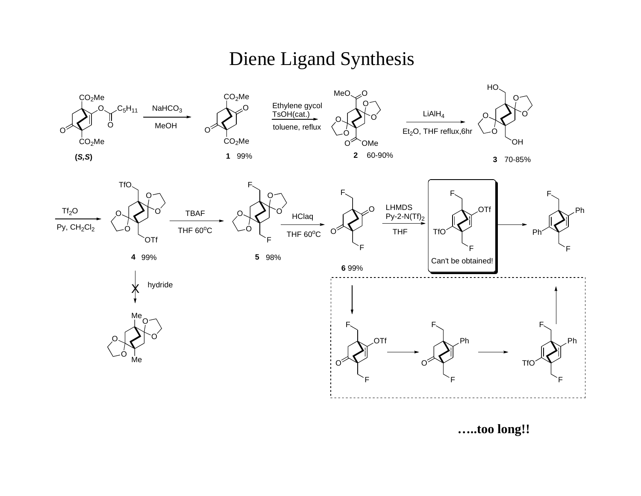# Diene Ligand Synthesis



**…..too long!!**